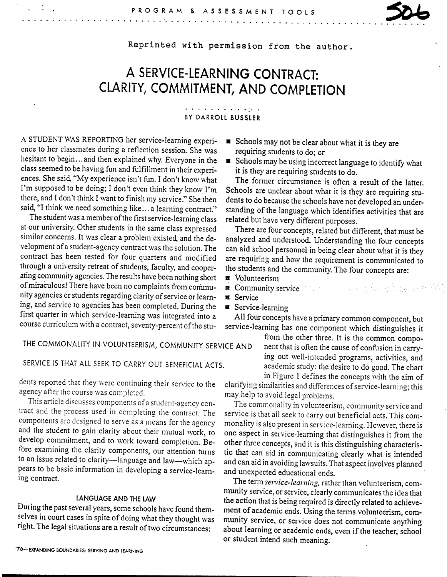Reprinted with permission from the author.

# **A SERVICE-LEARNING CONTRACT: CLARITY, COMMITMENT, AND COMPLETION**

. . . . . . . . . . . . BY DARROLL BUSSLER

A STUDENT WAS REPORTING her service-learning experience to her classmates during a reflection session. She was hesitant to begin...and then explained why. Everyone in the class seemed to be having fun and fulfillment in their experiences. She said, "My experience isn't fun. I don't know what I'm supposed to be doing; I don't even think they know I'm there, and I don't think I want to finish my service." She then said, "I think we need something like... a learning contract."

<sup>~</sup>. . . . . . . . . . . . . .

. . . . . . . .

The student was a member of the first service-learning class at our university. Other students in the same class expressed similar concerns. It was clear a problem existed, and the development of a student-agency contract was the solution. The contract has been tested for four quarters and modified through a university retreat of students, faculty, and cooperating community agencies. The results have been nothing short of miraculous! There have been no complaints from community agencies or students regarding clarity of service or learning, and service to agencies has been completed. During the first quarter in which service-learning was integrated into a course curriculum with a contract, seventy-percent of the stu-

requiring students to do; or **• Schools may be using incorrect language to identify what** it is they are requiring students to do.

• Schools may not be clear about what it is they are

The former circumstance is often a result of the latter. Schools are unclear about what it is they are requiring students to do because the schools have not developed an understanding of the language which identifies activities that are related but have very different purposes.

There are four concepts, related but different, that must be analyzed and understood. Understanding the four concepts can aid school personnel in being clear about what it is they are requiring and how the requirement is communicated to the students and the community. The four concepts are:

- **<sup>a</sup>**Volunteerism
- **11** Community service and the service of the service of the service of the service of the service of the series of the series of the series of the series of the series of the series of the series of the series of the seri

**a** Service

Service-learning

All four concepts have a primary common component, but service-learning has one component which distinguishes it

from the other three. It is the common component that is often the cause of confusion in carrying out well-intended programs, activities, and academic study: the desire to do good. The chart in Figure 1 defines the concepts with the aim of

clarifying similarities and differences of service-learning; this may help to avoid legal problems.

The commonality in volunteerism, community service and service is that all seek to carry out beneficial acts. This commonality is also present in service-learning. However, there is one aspect in service-leaming that distinguishes it from the other three concepts, and it is this distinguishing characteristic that can aid in communicating clearly what is intended and can aid in avoiding lawsuits. That aspect inyolves planned and unexpected educational ends.

The term *service-learning,* rather than volunteerism, community service, or service, clearly communicates the idea that the action that is being required is directly related to achievement of academic ends. Using the terms volunteerism, community service, or service does not communicate anything about learning or academic ends, even if the teacher, school or student intend such meaning.

## THE COMMONALITY IN VOlUNTEERISM, COMMUNITY SERVICE AND

## SERVICE IS THAT All SEEK TO CARRY OUT BENEFICIAl ACTS.

dents reported that they were continuing their service to the agency after the course was completed.

This article discusses components of a student-agency contract and the process used in completing the contract. The components are designed to serve as a means for the agency and the student to gain clarity about their mutual work, to develop commitment, and to work toward completion. Before examining the clarity components, our attention turns to an issue related to clarity-language and law-which appears to be basic information in developing a service-learning contract.

### LANGUAGE AND THE LAW

During the past several years, some schools have found themselves in court cases in spite of doing what they thought was right. The legal situations are a result of two circumstances: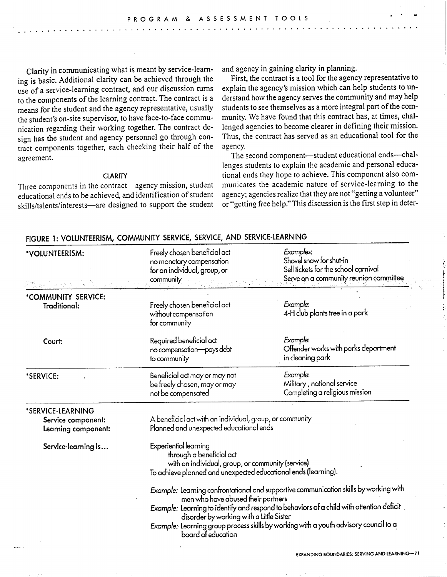Clarity in communicating what is meant by service-learning is basic. Additional clarity can be achieved through the use of a service-learning contract, and our discussion turns to the components of the learning contract. The contract is a means for the student and the agency representative, usually the student's on-site supervisor, to have face-to-face communication regarding their working together. The contract design has the student and agency personnel go through contract components together, each checking their half of the agreement.

..............................

#### **CLARITY**

Three components in the contract-agency mission, student educational ends to be achieved, and identification of student skills/talents/interests—are designed to support the student and agency in gaining clarity in planning.

First, the contract is a tool for the agency representative to explain the agency's mission which can help students to understand how the agency serves the community and may help students to see themselves as a more integral part of the community. We have found that this contract has, at times, challenged agencies to become clearer in defining their mission. Thus, the contract has served as an educational tool for the agency.

The second component-student educational ends-challenges students to explain the academic and personal educational ends they hope to achieve. This component also communicates the academic nature of service-learning to the agency; agencies realize that they are not "getting a volunteer" or "getting free help." This discussion is the first step in deter-

| *VOLUNTEERISM:                                                 | Freely chosen beneficial act<br>no monetary compensation<br>for an individual, group, or<br>community                                                                                                                                                                                                                                                                             | Examples:<br>Shovel snow for shut-in<br>Sell tickets for the school carnival<br>Serve on a community reunion committee |  |
|----------------------------------------------------------------|-----------------------------------------------------------------------------------------------------------------------------------------------------------------------------------------------------------------------------------------------------------------------------------------------------------------------------------------------------------------------------------|------------------------------------------------------------------------------------------------------------------------|--|
| *COMMUNITY SERVICE:<br>Traditional:                            | Freely chosen beneficial act<br>without compensation<br>for community                                                                                                                                                                                                                                                                                                             | Example:<br>4-H club plants tree in a park                                                                             |  |
| Court:                                                         | Required beneficial act<br>no compensation-pays debt<br>to community                                                                                                                                                                                                                                                                                                              | Example:<br>Offender works with parks department<br>in cleaning park                                                   |  |
| *SERVICE:                                                      | Beneficial act may or may not<br>be freely chosen, may or may<br>not be compensated                                                                                                                                                                                                                                                                                               | Example:<br>Military, national service<br>Completing a religious mission                                               |  |
| *SERVICE-LEARNING<br>Service component:<br>Learning component: | A beneficial act with an individual, group, or community<br>Planned and unexpected educational ends                                                                                                                                                                                                                                                                               |                                                                                                                        |  |
| Service-learning is                                            | Experiential learning<br>through a beneficial act<br>with an individual, group, or community (service)<br>To achieve planned and unexpected educational ends (learning).                                                                                                                                                                                                          |                                                                                                                        |  |
|                                                                | Example: Learning confrontational and supportive communication skills by working with<br>men who have abused their partners<br>Example: Learning to identify and respond to behaviors of a child with attention deficit<br>disorder by working with a Little Sister<br>Example: Learning group process skills by working with a youth advisory council to a<br>board of education |                                                                                                                        |  |

#### FIGURE 1: VOLUNTEERISM, COMMUNITY SERVICE, SERVICE, AND SERVICE-LEARNING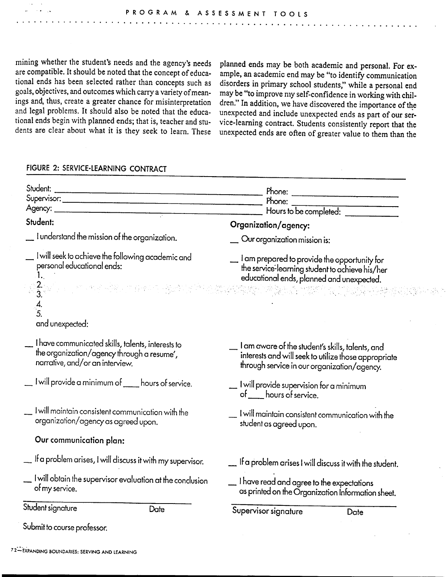...................................................................

mining whether the student's needs and the agency's needs planned ends may be both academic and personal. For ex-<br>are compatible. It should be noted that the concept of educa- ample, an academic end may be "to identify com are compatible. It should be noted that the concept of educa- ample, an academic end may be "to identify communication tional ends has been selected rather than concepts such as disorders in primary school students" while tional ends has been selected rather than concepts such as disorders in primary school students," while a personal end goals, objectives, and outcomes which carry a variety of mean- may be "to improve my self-confidence in goals, objectives, and outcomes which carry a variety of mean- may be "to improve my self-confidence in working with chilings and, thus, create a greater chance for misinterpretation dren." In addition, we have discovered ings and, thus, create a greater chance for misinterpretation dren." In addition, we have discovered the importance of the and legal problems. It should also be noted that the educa-<br>unexpected and include unexpected ends and legal problems. It should also be noted that the educa- unexpected and include unexpected ends as part of our ser-<br>tional ends begin with planned ends; that is, teacher and stu- vice-learning contract. Students consist

tional ends begin with planned ends; that is, teacher and stu-<br>dents are clear about what it is they seek to learn. These unexpected ends are often of greater value to them than the unexpected ends are often of greater value to them than the

## FIGURE 2: SERVICE-LEARNING CONTRACT

**Contract Contract** 

|                                                                                                                                    |      | Phone: $\overline{\qquad \qquad }$<br>Phone: $\frac{1}{2}$                                                                                              |  |
|------------------------------------------------------------------------------------------------------------------------------------|------|---------------------------------------------------------------------------------------------------------------------------------------------------------|--|
|                                                                                                                                    |      | Hours to be completed:                                                                                                                                  |  |
| Student:                                                                                                                           |      | Organization/agency:                                                                                                                                    |  |
| $\_$ I understand the mission of the organization.                                                                                 |      | $\_$ Our organization mission is:                                                                                                                       |  |
| I will seek to achieve the following academic and<br>personal educational ends:<br>1.                                              |      | I am prepared to provide the opportunity for<br>the service-learning student to achieve his/her<br>educational ends, planned and unexpected.            |  |
| $\frac{2}{3}$<br>$\frac{4}{5}$<br>and unexpected:                                                                                  |      |                                                                                                                                                         |  |
| I have communicated skills, talents, interests to<br>the organization/agency through a resume',<br>narrative, and/or an interview. |      | I am aware of the student's skills, talents, and<br>interests and will seek to utilize those appropriate<br>through service in our organization/agency. |  |
| $\_$ I will provide a minimum of $\_$ hours of service.                                                                            |      | $\_$ I will provide supervision for a minimum<br>of <u>come</u> hours of service.                                                                       |  |
| $\_$ I will maintain consistent communication with the<br>organization/agency as agreed upon.                                      |      | . I will maintain consistent communication with the<br>student as agreed upon.                                                                          |  |
| Our communication plan:                                                                                                            |      |                                                                                                                                                         |  |
| $\_\!\_\,$ If a problem arises, I will discuss it with my supervisor.                                                              |      | $\_\_$ If a problem arises I will discuss it with the student.                                                                                          |  |
| . I will obtain the supervisor evaluation at the conclusion<br>of my service.                                                      |      | $\_\_$ I have read and agree to the expectations<br>as printed on the Organization Information sheet.                                                   |  |
| Student signature                                                                                                                  | Date | Supervisor signature<br>Date                                                                                                                            |  |
| Submit to course professor.                                                                                                        |      |                                                                                                                                                         |  |

72:.:.EXPANDING SOUNDARIES: SERVING AND LEARNING